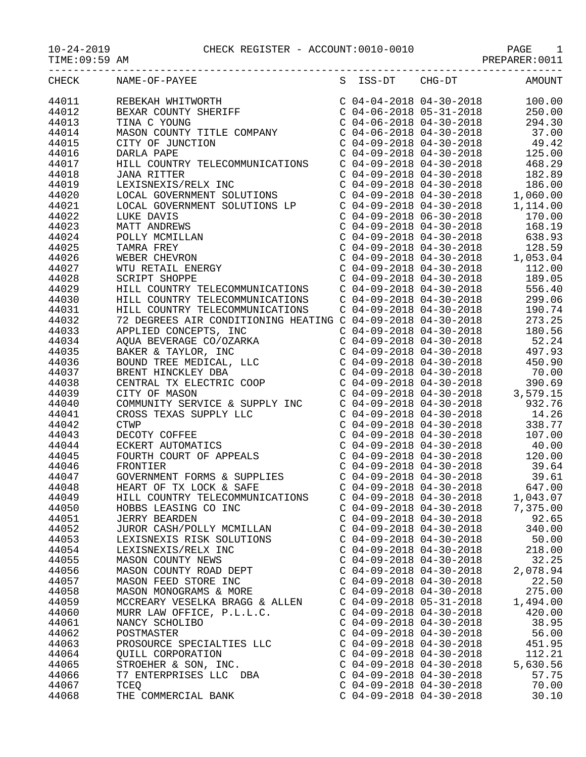| <b>CHECK</b> | NAME-OF-PAYEE<br>REBEKAH WHITWORTH<br>BEXAR COUNTY SHERIFF<br>TINA C YOUNG<br>MASON COUNTY TITLE COMPANY<br>TINA C YOUNG                      | S ISS-DT CHG-DT                                                                                                                                                                                   | <b>AMOUNT</b>                                                                |
|--------------|-----------------------------------------------------------------------------------------------------------------------------------------------|---------------------------------------------------------------------------------------------------------------------------------------------------------------------------------------------------|------------------------------------------------------------------------------|
| 44011        |                                                                                                                                               | C 04-04-2018 04-30-2018<br>C 04-06-2018 05-31-2018<br>C 04-06-2018 04-30-2018                                                                                                                     | 100.00                                                                       |
| 44012        |                                                                                                                                               |                                                                                                                                                                                                   | 250.00                                                                       |
| 44013        |                                                                                                                                               |                                                                                                                                                                                                   | 294.30                                                                       |
| 44014        |                                                                                                                                               | $C$ 04-06-2018 04-30-2018                                                                                                                                                                         | 37.00                                                                        |
| 44015        | CITY OF JUNCTION                                                                                                                              |                                                                                                                                                                                                   | $C$ 04-09-2018 04-30-2018 49.42                                              |
| 44016        | DARLA PAPE                                                                                                                                    | $C$ 04-09-2018 04-30-2018                                                                                                                                                                         | 125.00                                                                       |
| 44017        | HILL COUNTRY TELECOMMUNICATIONS                                                                                                               |                                                                                                                                                                                                   | 468.29                                                                       |
| 44018        | <b>JANA RITTER</b>                                                                                                                            | C 04-09-2018 04-30-2018<br>C 04-09-2018 04-30-2018                                                                                                                                                | 182.89                                                                       |
| 44019        | LEXISNEXIS/RELX INC                                                                                                                           | $C$ 04-09-2018 04-30-2018                                                                                                                                                                         | 186.00                                                                       |
| 44020        | LOCAL GOVERNMENT SOLUTIONS                                                                                                                    | $C$ 04-09-2018 04-30-2018                                                                                                                                                                         | 1,060.00                                                                     |
| 44021        | LOCAL GOVERNMENT SOLUTIONS LP                                                                                                                 | $C$ 04-09-2018 04-30-2018                                                                                                                                                                         | 1,114.00                                                                     |
| 44022        | LUKE DAVIS                                                                                                                                    |                                                                                                                                                                                                   | 170.00                                                                       |
| 44023        | LUKE DAVIS<br>MATT ANDREWS<br>POLLY MCMILLAN<br>TAMRA FREY<br>WEBER CHEVRON<br>WTU RETAIL ENERGY<br>SCRIPT SHOPPE                             | $C$ 04-09-2018 06-30-2018                                                                                                                                                                         | 168.19                                                                       |
| 44024        |                                                                                                                                               | C 04-09-2018 04-30-2018<br>C 04-09-2018 04-30-2018                                                                                                                                                | 638.93                                                                       |
| 44025        |                                                                                                                                               | $C$ 04-09-2018 04-30-2018                                                                                                                                                                         | 128.59                                                                       |
| 44026        |                                                                                                                                               |                                                                                                                                                                                                   | $C$ 04-09-2018 04-30-2018 1,053.04                                           |
|              |                                                                                                                                               |                                                                                                                                                                                                   |                                                                              |
| 44027        |                                                                                                                                               |                                                                                                                                                                                                   | 112.00                                                                       |
| 44028        | SCRIPT SHOPPE                                                                                                                                 |                                                                                                                                                                                                   | 189.05                                                                       |
| 44029        | HILL COUNTRY TELECOMMUNICATIONS                                                                                                               | $\begin{array}{cccc} \texttt{C} & 04-09-2018 & 04-30-2018 \\ \texttt{C} & 04-09-2018 & 04-30-2018 \\ \texttt{C} & 04-09-2018 & 04-30-2018 \\ \texttt{C} & 04-09-2018 & 04-30-2018 \\ \end{array}$ | 556.40                                                                       |
| 44030        | HILL COUNTRY TELECOMMUNICATIONS                                                                                                               |                                                                                                                                                                                                   | 299.06                                                                       |
| 44031        | HILL COUNTRY TELECOMMUNICATIONS                                                                                                               | $C$ 04-09-2018 04-30-2018                                                                                                                                                                         | 190.74                                                                       |
| 44032        | 72 DEGREES AIR CONDITIONING HEATING C 04-09-2018 04-30-2018                                                                                   |                                                                                                                                                                                                   | 273.25                                                                       |
| 44033        | APPLIED CONCEPTS, INC                                                                                                                         | $C$ 04-09-2018 04-30-2018                                                                                                                                                                         | 180.56                                                                       |
| 44034        |                                                                                                                                               |                                                                                                                                                                                                   | 52.24<br>$C$ 04-09-2018 04-30-2018 52.24<br>$C$ 04-09-2018 04-30-2018 497.93 |
| 44035        |                                                                                                                                               |                                                                                                                                                                                                   |                                                                              |
| 44036        |                                                                                                                                               | $C$ 04-09-2018 04-30-2018                                                                                                                                                                         | 450.90                                                                       |
| 44037        |                                                                                                                                               |                                                                                                                                                                                                   | C 04-09-2018 04-30-2018 70.00                                                |
| 44038        | ADUA BEVERAGE CO/OZARKA<br>BAKER & TAYLOR, INC<br>BOUND TREE MEDICAL, LLC<br>BRENT HINCKLEY DBA<br>CENTRAL TX ELECTRIC COOP<br>CITY OF MASON  | C 04-09-2018 04-30-2018<br>C 04-09-2018 04-30-2018<br>C 04-09-2018 04-30-2018<br>C 04-09-2018 04-30-2018                                                                                          | 390.69                                                                       |
| 44039        |                                                                                                                                               |                                                                                                                                                                                                   | 3,579.15                                                                     |
| 44040        | COMMUNITY SERVICE & SUPPLY INC<br>CROSS TEXAS SUPPLY LLC<br>CTWP<br>DECOTY COFFEE<br>ECKERT AUTOMATICS<br>FOURTH COURT OF APPEALS<br>FRONTIER |                                                                                                                                                                                                   | 932.76                                                                       |
| 44041        |                                                                                                                                               |                                                                                                                                                                                                   | 14.26                                                                        |
| 44042        |                                                                                                                                               | $C$ 04-09-2018 04-30-2018                                                                                                                                                                         | 338.77                                                                       |
| 44043        |                                                                                                                                               | $C$ 04-09-2018 04-30-2018                                                                                                                                                                         | 107.00                                                                       |
| 44044        |                                                                                                                                               | $C$ 04-09-2018 04-30-2018                                                                                                                                                                         | 40.00                                                                        |
| 44045        |                                                                                                                                               | C 04-09-2018 04-30-2018<br>C 04-09-2018 04-30-2018                                                                                                                                                | $\begin{array}{c} 120.6 \\ 39.64 \\ 29.61 \end{array}$                       |
| 44046        | FRONTIER                                                                                                                                      |                                                                                                                                                                                                   |                                                                              |
| 44047        | GOVERNMENT FORMS & SUPPLIES<br>HEART OF TX LOCK & SAFE                                                                                        | $C$ 04-09-2018 04-30-2018                                                                                                                                                                         | 39.61                                                                        |
| 44048        | HEART OF TX LOCK & SAFE                                                                                                                       | $C$ 04-09-2018 04-30-2018                                                                                                                                                                         | 647.00                                                                       |
| 44049        | HILL COUNTRY TELECOMMUNICATIONS                                                                                                               | $C$ 04-09-2018 04-30-2018                                                                                                                                                                         | 1,043.07                                                                     |
| 44050        | HOBBS LEASING CO INC                                                                                                                          | $C$ 04-09-2018 04-30-2018                                                                                                                                                                         | 7,375.00                                                                     |
| 44051        | <b>JERRY BEARDEN</b>                                                                                                                          | $C$ 04-09-2018 04-30-2018                                                                                                                                                                         | 92.65                                                                        |
| 44052        | JUROR CASH/POLLY MCMILLAN                                                                                                                     | $C$ 04-09-2018 04-30-2018                                                                                                                                                                         | 340.00                                                                       |
| 44053        | LEXISNEXIS RISK SOLUTIONS                                                                                                                     | $C$ 04-09-2018 04-30-2018                                                                                                                                                                         | 50.00                                                                        |
| 44054        |                                                                                                                                               |                                                                                                                                                                                                   | 218.00                                                                       |
| 44055        |                                                                                                                                               |                                                                                                                                                                                                   | 32.25                                                                        |
| 44056        |                                                                                                                                               | $C$ 04-09-2018 04-30-2018                                                                                                                                                                         | 2,078.94                                                                     |
| 44057        |                                                                                                                                               |                                                                                                                                                                                                   | 22.50                                                                        |
| 44058        |                                                                                                                                               |                                                                                                                                                                                                   | 275.00                                                                       |
| 44059        | MCCREARY VESELKA BRAGG & ALLEN $C$ 04-09-2018 05-31-2018                                                                                      |                                                                                                                                                                                                   | 1,494.00                                                                     |
| 44060        | MURR LAW OFFICE, P.L.L.C.                                                                                                                     | $C$ 04-09-2018 04-30-2018                                                                                                                                                                         | 420.00                                                                       |
| 44061        | NANCY SCHOLIBO                                                                                                                                | $C$ 04-09-2018 04-30-2018                                                                                                                                                                         | 38.95                                                                        |
| 44062        |                                                                                                                                               |                                                                                                                                                                                                   | 56.00                                                                        |
| 44063        | POSTMASTER<br>PROSOURCE SPECIALTIES LLC<br>PROSOURCE SPECIALTIES LLC<br>C 04-09-2018 04-30-2018 451.95                                        |                                                                                                                                                                                                   |                                                                              |
| 44064        |                                                                                                                                               |                                                                                                                                                                                                   | 112.21                                                                       |
| 44065        |                                                                                                                                               |                                                                                                                                                                                                   | 5,630.56                                                                     |
| 44066        |                                                                                                                                               | $C$ 04-09-2018 04-30-2018                                                                                                                                                                         | 57.75                                                                        |
| 44067        | TCEO                                                                                                                                          | $C$ 04-09-2018 04-30-2018                                                                                                                                                                         | 70.00                                                                        |
| 44068        | THE COMMERCIAL BANK                                                                                                                           | $C$ 04-09-2018 04-30-2018                                                                                                                                                                         | 30.10                                                                        |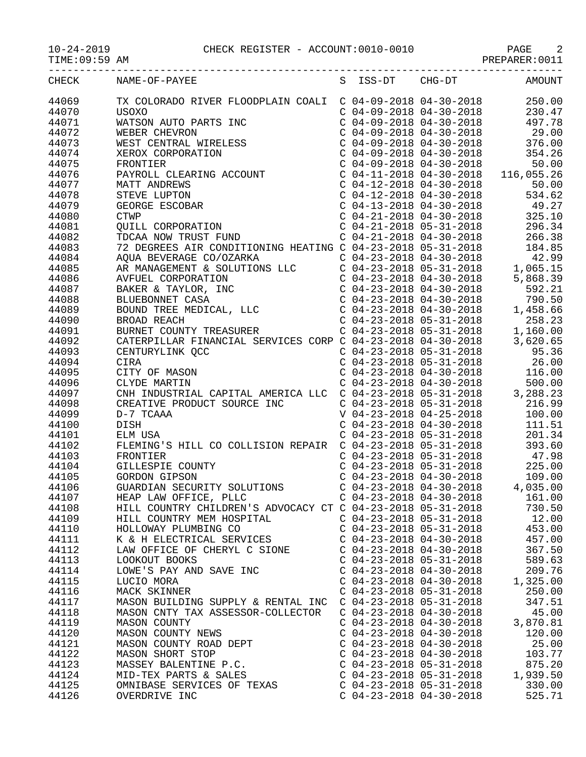10-24-2019 CHECK REGISTER - ACCOUNT:0010-0010 PAGE 2

TIME:09:59 AM PREPARER:0011

| CHECK | NAME-OF-PAYEE                                                                                                                                                                                                                                                                                          |                           | S ISS-DT CHG-DT AMOUNT                                                        |
|-------|--------------------------------------------------------------------------------------------------------------------------------------------------------------------------------------------------------------------------------------------------------------------------------------------------------|---------------------------|-------------------------------------------------------------------------------|
| 44069 | TX COLORADO RIVER FLOODPLAIN COALI C 04-09-2018 04-30-2018 250.00<br>USOXO C 04-09-2018 04-30-2018 230.47<br>WATSON AUTO PARTS INC C 04-09-2018 04-30-2018 230.47<br>WEBER CHEVRON C 04-09-2018 04-30-2018 29.00<br>WEST CENTRAL WIREL                                                                 |                           |                                                                               |
| 44070 |                                                                                                                                                                                                                                                                                                        |                           |                                                                               |
| 44071 |                                                                                                                                                                                                                                                                                                        |                           |                                                                               |
|       |                                                                                                                                                                                                                                                                                                        |                           |                                                                               |
| 44072 |                                                                                                                                                                                                                                                                                                        |                           |                                                                               |
| 44073 |                                                                                                                                                                                                                                                                                                        |                           |                                                                               |
| 44074 |                                                                                                                                                                                                                                                                                                        |                           |                                                                               |
| 44075 |                                                                                                                                                                                                                                                                                                        |                           |                                                                               |
| 44076 |                                                                                                                                                                                                                                                                                                        |                           |                                                                               |
| 44077 |                                                                                                                                                                                                                                                                                                        |                           |                                                                               |
| 44078 |                                                                                                                                                                                                                                                                                                        |                           |                                                                               |
| 44079 |                                                                                                                                                                                                                                                                                                        |                           |                                                                               |
| 44080 |                                                                                                                                                                                                                                                                                                        |                           |                                                                               |
|       |                                                                                                                                                                                                                                                                                                        |                           |                                                                               |
| 44081 |                                                                                                                                                                                                                                                                                                        |                           |                                                                               |
| 44082 |                                                                                                                                                                                                                                                                                                        |                           |                                                                               |
| 44083 |                                                                                                                                                                                                                                                                                                        |                           |                                                                               |
| 44084 |                                                                                                                                                                                                                                                                                                        |                           |                                                                               |
| 44085 |                                                                                                                                                                                                                                                                                                        |                           |                                                                               |
| 44086 |                                                                                                                                                                                                                                                                                                        |                           |                                                                               |
| 44087 |                                                                                                                                                                                                                                                                                                        |                           |                                                                               |
| 44088 |                                                                                                                                                                                                                                                                                                        |                           |                                                                               |
| 44089 |                                                                                                                                                                                                                                                                                                        |                           |                                                                               |
| 44090 |                                                                                                                                                                                                                                                                                                        |                           |                                                                               |
|       |                                                                                                                                                                                                                                                                                                        |                           |                                                                               |
| 44091 |                                                                                                                                                                                                                                                                                                        |                           |                                                                               |
| 44092 |                                                                                                                                                                                                                                                                                                        |                           |                                                                               |
| 44093 |                                                                                                                                                                                                                                                                                                        |                           |                                                                               |
| 44094 | $\begin{tabular}{l c c c c c} \hline \texttt{STEVE LUPTON} & $\texttt{C 04-12-2018 \;\; 04-30-2018 \;\; & $534.62$\,${\rm G\,04-13-2018 \;\; 04-30-2018 \;\; & $534.62$\,${\rm C\,04-21-2018 \;\; 04-30-2018 \;\; & $49.27$\,${\rm C\,04-21-2018 \;\; 05-31-2018 \;\; & $296.34$\,${\rm C\,04-21-2018$ |                           |                                                                               |
| 44095 |                                                                                                                                                                                                                                                                                                        |                           | $C \begin{bmatrix} 0.4 & -23 & -2018 & 04 & -30 & -2018 \end{bmatrix}$ 116.00 |
| 44096 |                                                                                                                                                                                                                                                                                                        |                           |                                                                               |
| 44097 | COMPLINE MARTIN<br>COMPLINE CAPITAL AMERICA LLC C 04-23-2018 04-30-2018<br>CREATIVE PRODUCT SOURCE INC<br>D-7 TCAAA<br>D-7 TCAAA<br>COMPLINE CONSINERED BOOKING COMPLINE CONSINERED BOOKING C 04-23-2018 05-31-2018<br>C 04-23-2018 04-25-                                                             |                           |                                                                               |
| 44098 |                                                                                                                                                                                                                                                                                                        |                           |                                                                               |
| 44099 |                                                                                                                                                                                                                                                                                                        |                           |                                                                               |
| 44100 |                                                                                                                                                                                                                                                                                                        |                           |                                                                               |
| 44101 |                                                                                                                                                                                                                                                                                                        |                           |                                                                               |
|       |                                                                                                                                                                                                                                                                                                        |                           |                                                                               |
| 44102 |                                                                                                                                                                                                                                                                                                        |                           |                                                                               |
| 44103 | FLEMING'S HILL CO COLLISION REPAIR C 04-23-2018 05-31-2018<br>FRONTIER COUNTY C 04-23-2018 05-31-2018 47.98<br>GILLESPIE COUNTY C 04-23-2018 05-31-2018 47.98<br>GORDON GIPSON C 04-23-2018 04-30-2018 109.00<br>GUARDIAN SECURITY SOL                                                                 |                           |                                                                               |
| 44104 |                                                                                                                                                                                                                                                                                                        |                           |                                                                               |
| 44105 |                                                                                                                                                                                                                                                                                                        |                           |                                                                               |
| 44106 |                                                                                                                                                                                                                                                                                                        |                           |                                                                               |
| 44107 | HEAP LAW OFFICE, PLLC                                                                                                                                                                                                                                                                                  | $C$ 04-23-2018 04-30-2018 | 161.00                                                                        |
| 44108 | HILL COUNTRY CHILDREN'S ADVOCACY CT C 04-23-2018 05-31-2018                                                                                                                                                                                                                                            |                           | 730.50                                                                        |
| 44109 | HILL COUNTRY MEM HOSPITAL                                                                                                                                                                                                                                                                              | $C$ 04-23-2018 05-31-2018 | 12.00                                                                         |
| 44110 | HOLLOWAY PLUMBING CO                                                                                                                                                                                                                                                                                   | $C$ 04-23-2018 05-31-2018 | 453.00                                                                        |
| 44111 | K & H ELECTRICAL SERVICES                                                                                                                                                                                                                                                                              | $C$ 04-23-2018 04-30-2018 | 457.00                                                                        |
| 44112 | LAW OFFICE OF CHERYL C SIONE                                                                                                                                                                                                                                                                           | $C$ 04-23-2018 04-30-2018 | 367.50                                                                        |
|       |                                                                                                                                                                                                                                                                                                        |                           |                                                                               |
| 44113 | LOOKOUT BOOKS                                                                                                                                                                                                                                                                                          | $C$ 04-23-2018 05-31-2018 | 589.63                                                                        |
| 44114 | LOWE'S PAY AND SAVE INC                                                                                                                                                                                                                                                                                | $C$ 04-23-2018 04-30-2018 | 209.76                                                                        |
| 44115 | LUCIO MORA                                                                                                                                                                                                                                                                                             | $C$ 04-23-2018 04-30-2018 | 1,325.00                                                                      |
| 44116 | MACK SKINNER                                                                                                                                                                                                                                                                                           | $C$ 04-23-2018 05-31-2018 | 250.00                                                                        |
| 44117 | MASON BUILDING SUPPLY & RENTAL INC                                                                                                                                                                                                                                                                     | $C$ 04-23-2018 05-31-2018 | 347.51                                                                        |
| 44118 | MASON CNTY TAX ASSESSOR-COLLECTOR                                                                                                                                                                                                                                                                      | $C$ 04-23-2018 04-30-2018 | 45.00                                                                         |
| 44119 | <b>MASON COUNTY</b>                                                                                                                                                                                                                                                                                    | $C$ 04-23-2018 04-30-2018 | 3,870.81                                                                      |
| 44120 | MASON COUNTY NEWS                                                                                                                                                                                                                                                                                      | $C$ 04-23-2018 04-30-2018 | 120.00                                                                        |
| 44121 | MASON COUNTY ROAD DEPT                                                                                                                                                                                                                                                                                 | $C$ 04-23-2018 04-30-2018 | 25.00                                                                         |
| 44122 | MASON SHORT STOP                                                                                                                                                                                                                                                                                       | $C$ 04-23-2018 04-30-2018 | 103.77                                                                        |
| 44123 |                                                                                                                                                                                                                                                                                                        | $C$ 04-23-2018 05-31-2018 | 875.20                                                                        |
|       | MASSEY BALENTINE P.C.                                                                                                                                                                                                                                                                                  |                           |                                                                               |
| 44124 | MID-TEX PARTS & SALES                                                                                                                                                                                                                                                                                  | $C$ 04-23-2018 05-31-2018 | 1,939.50                                                                      |
| 44125 | OMNIBASE SERVICES OF TEXAS                                                                                                                                                                                                                                                                             | $C$ 04-23-2018 05-31-2018 | 330.00                                                                        |
| 44126 | OVERDRIVE INC                                                                                                                                                                                                                                                                                          | $C$ 04-23-2018 04-30-2018 | 525.71                                                                        |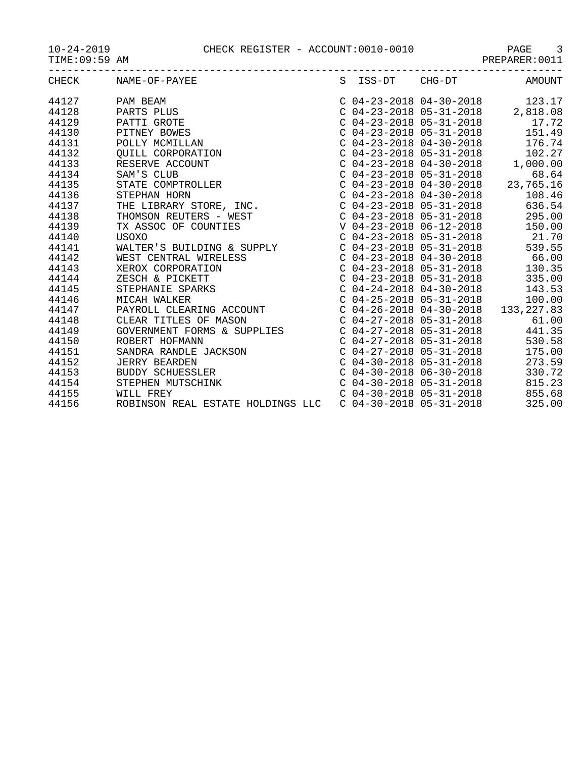10-24-2019 CHECK REGISTER - ACCOUNT:0010-0010 PAGE 3

TIME:09:59 AM PREPARER:0011

|       |                                                            |  | $\begin{tabular}{lllllllllll} $\text{C}$&04--23--2018}&04--30--2018&& 123.17\\ $\text{C}$&04--23--2018&05--31--2018&& 2\,,818.08\\ $\text{C}$&04--23--2018&05--31--2018&& 17\,.72\\ $\text{C}$&04--23--2018&05--31--2018&& 151.49\\ $\text{C}$&04--23--2018&04--32&0312&04--32&0312&0412&0412\\ $\text{C}$&04--23$ |
|-------|------------------------------------------------------------|--|--------------------------------------------------------------------------------------------------------------------------------------------------------------------------------------------------------------------------------------------------------------------------------------------------------------------|
|       |                                                            |  |                                                                                                                                                                                                                                                                                                                    |
|       |                                                            |  |                                                                                                                                                                                                                                                                                                                    |
|       |                                                            |  |                                                                                                                                                                                                                                                                                                                    |
|       |                                                            |  |                                                                                                                                                                                                                                                                                                                    |
|       |                                                            |  |                                                                                                                                                                                                                                                                                                                    |
|       |                                                            |  |                                                                                                                                                                                                                                                                                                                    |
|       |                                                            |  |                                                                                                                                                                                                                                                                                                                    |
|       |                                                            |  |                                                                                                                                                                                                                                                                                                                    |
|       |                                                            |  |                                                                                                                                                                                                                                                                                                                    |
|       |                                                            |  |                                                                                                                                                                                                                                                                                                                    |
|       |                                                            |  |                                                                                                                                                                                                                                                                                                                    |
|       |                                                            |  |                                                                                                                                                                                                                                                                                                                    |
|       |                                                            |  |                                                                                                                                                                                                                                                                                                                    |
|       |                                                            |  |                                                                                                                                                                                                                                                                                                                    |
|       |                                                            |  |                                                                                                                                                                                                                                                                                                                    |
|       |                                                            |  |                                                                                                                                                                                                                                                                                                                    |
|       |                                                            |  |                                                                                                                                                                                                                                                                                                                    |
|       |                                                            |  |                                                                                                                                                                                                                                                                                                                    |
|       |                                                            |  |                                                                                                                                                                                                                                                                                                                    |
|       |                                                            |  |                                                                                                                                                                                                                                                                                                                    |
|       |                                                            |  |                                                                                                                                                                                                                                                                                                                    |
|       |                                                            |  |                                                                                                                                                                                                                                                                                                                    |
|       |                                                            |  |                                                                                                                                                                                                                                                                                                                    |
|       |                                                            |  |                                                                                                                                                                                                                                                                                                                    |
|       |                                                            |  |                                                                                                                                                                                                                                                                                                                    |
|       |                                                            |  |                                                                                                                                                                                                                                                                                                                    |
|       |                                                            |  |                                                                                                                                                                                                                                                                                                                    |
|       |                                                            |  |                                                                                                                                                                                                                                                                                                                    |
| 44156 | ROBINSON REAL ESTATE HOLDINGS LLC  C 04-30-2018 05-31-2018 |  | 325.00                                                                                                                                                                                                                                                                                                             |